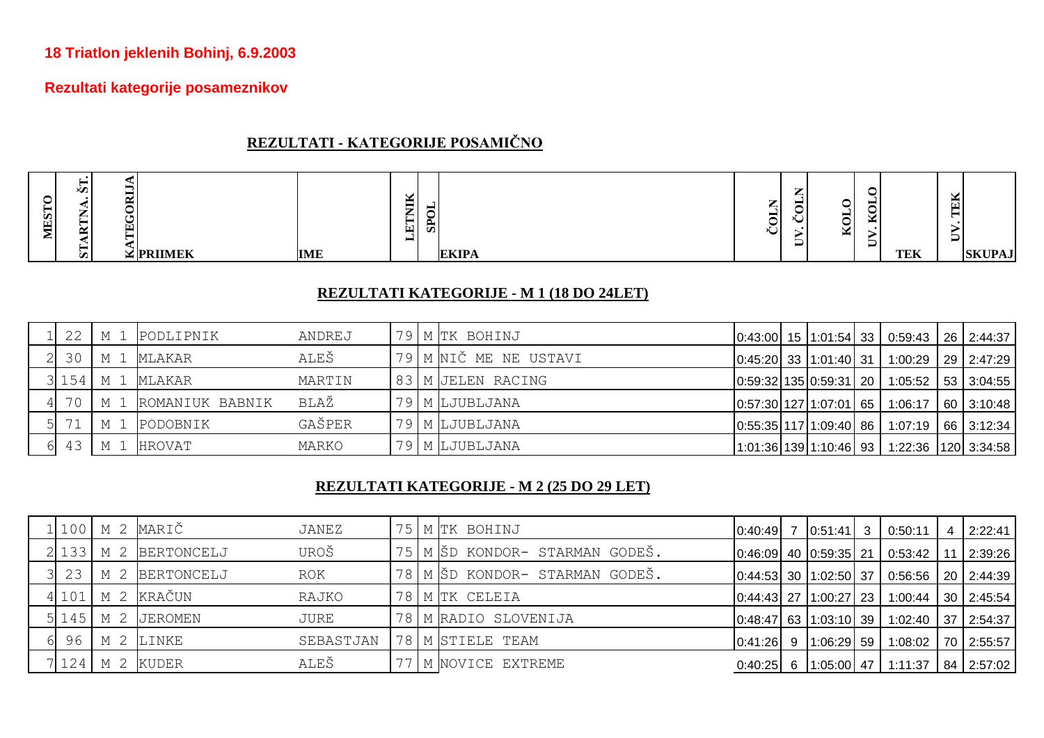### **18 Triatlon jeklenih Bohinj, 6.9.2003**

# **Rezultati kategorije posameznikov**

# **REZULTATI - KATEGORIJE POSAMIČNO**

| <b>TEK</b><br><b>EKIPA</b><br>$\frac{1}{2}$ PRIIMEK<br><b>IME</b><br><b>SKUPAJ</b><br>s |
|-----------------------------------------------------------------------------------------|
|-----------------------------------------------------------------------------------------|

#### **REZULTATI KATEGORIJE - M 1 (18 DO 24LET)**

| 22 | M 1 PODLIPNIK            | ANDREJ |  | 79 M TK BOHINJ        |  |  | $\vert 0.43.00 \vert 15 \vert 1.01.54 \vert 33 \vert 0.59.43 \vert 26 \vert 2.44.37 \vert$                 |  |
|----|--------------------------|--------|--|-----------------------|--|--|------------------------------------------------------------------------------------------------------------|--|
| 30 | M 1 MLAKAR               | ALEŠ   |  | 79 M NIČ ME NE USTAVI |  |  | $\vert 0.45.20 \vert 33 \vert 1.01.40 \vert 31 \vert 1.00.29 \vert 29 \vert 2.47.29 \vert$                 |  |
|    | $3154$ M 1 MLAKAR        | MARTIN |  | 83 M JELEN RACING     |  |  | $\vert 0.59.32 \vert 135 \vert 0.59.31 \vert 20 \vert 1.05.52 \vert 53 \vert 3.04.55 \vert$                |  |
|    | 70   M 1 ROMANIUK BABNIK | BLAŽ   |  | 79 M LJUBLJANA        |  |  | $\vert 0.57.30 \vert 127 \vert 1.07.01 \vert 65 \vert 1.06.17 \vert 60 \vert 3.10.48 \vert$                |  |
| 71 | M 1 PODOBNIK             | GAŠPER |  | 79 M LJUBLJANA        |  |  | $\vert 0.55.35 \vert 117 \vert 1.09.40 \vert 86 \vert 1.07.19 \vert 66 \vert 3.12.34 \vert$                |  |
|    | 43   M 1 HROVAT          | MARKO  |  | 79   M LJUBLJANA      |  |  | $\vert$ 1:01:36 $\vert$ 139 $\vert$ 1:10:46 $\vert$ 93 $\vert$ 1:22:36 $\vert$ 120 $\vert$ 3:34:58 $\vert$ |  |

### **REZULTATI KATEGORIJE - M 2 (25 DO 29 LET)**

|    |             | 1 100 M 2 MARIČ    | JANEZ     |  | 75 M TK BOHINJ                 |         |   | $\begin{bmatrix} 0.40.49 & 7 & 0.51.41 & 3 \end{bmatrix}$ | 0:50:11                                                       |     | 2:22:41        |
|----|-------------|--------------------|-----------|--|--------------------------------|---------|---|-----------------------------------------------------------|---------------------------------------------------------------|-----|----------------|
|    | $2$ 133 M 2 | <b>BERTONCELJ</b>  | UROŠ      |  | 75 M ŠD KONDOR- STARMAN GODEŠ. |         |   |                                                           | $\vert 0.46.09 \vert 40 \vert 0.59.35 \vert 21 \vert 0.53.42$ | -11 | 2:39:26        |
| 23 |             | M 2 BERTONCELJ     | ROK       |  | 78 M ŠD KONDOR- STARMAN GODEŠ. |         |   | $\vert 0.44.53 \vert 30 \vert 1.02.50 \vert 37 \vert$     | $\mid$ 0:56:56 $\mid$ 20 $\mid$ 2:44:39 $\mid$                |     |                |
|    |             | 4 101   M 2 KRAČUN | RAJKO     |  | 78 M TK CELEIA                 |         |   | $\vert 0.44.43 \vert 27 \vert 1.00.27 \vert 23 \vert$     | 1:00:44                                                       |     | 30   2:45:54   |
|    |             | $5145$ M 2 JEROMEN | JURE      |  | 78   M RADIO SLOVENIJA         |         |   | $\vert 0.48.47 \vert 63 \vert 1.03.10 \vert 39 \vert$     | 1:02:40                                                       |     | $37$ 2:54:37   |
| 96 |             | M 2 LINKE          | SEBASTJAN |  | 78   M STIELE TEAM             | 0:41:26 | 9 | $1:06:29$ 59                                              | 1:08:02                                                       |     | 70 2:55:57     |
|    |             | 7 124 M 2 KUDER    | ALEŠ      |  | 77   M NOVICE EXTREME          |         |   | $0:40:25$ 6 1:05:00 47                                    | 1:11:37                                                       |     | $84$   2:57:02 |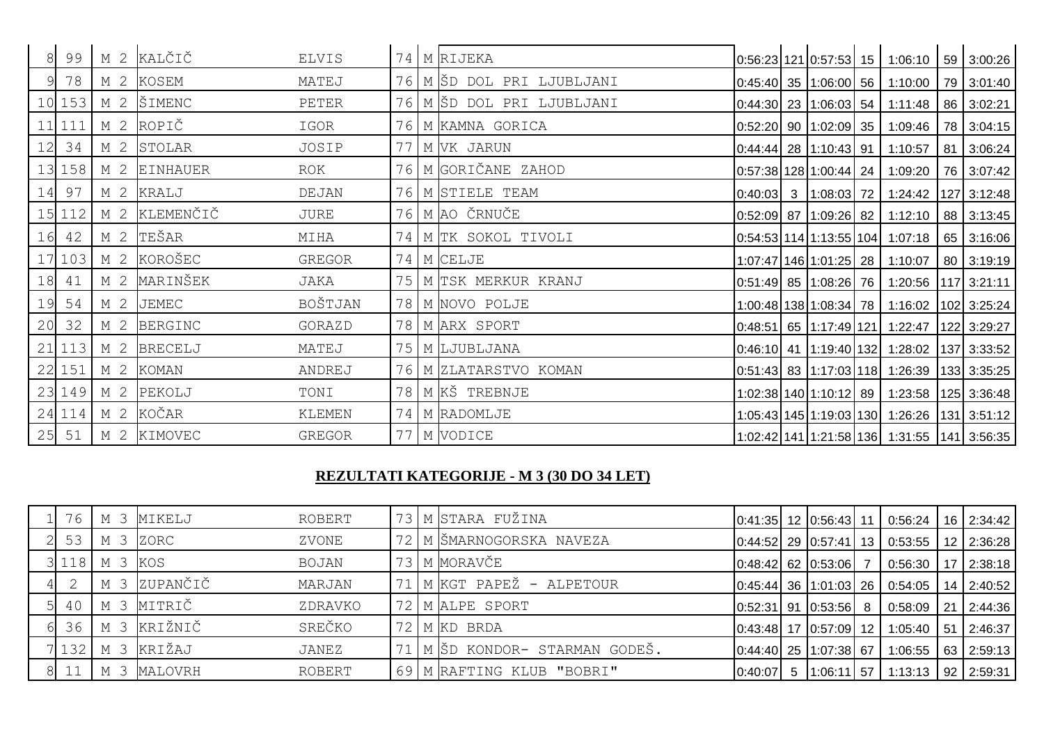|    | 99     |                | M 2 KALČIČ      | <b>ELVIS</b> | 74  | M RIJEKA                |         |                                | $0.56:23$ 121 0:57:53 15 1:06:10 59 3:00:26 |             |
|----|--------|----------------|-----------------|--------------|-----|-------------------------|---------|--------------------------------|---------------------------------------------|-------------|
|    | 78     |                | M 2 KOSEM       | MATEJ        | 76  | M ŠD DOL PRI LJUBLJANI  |         | $0:45:40$ 35 1:06:00 56        | 1:10:00                                     | 79 3:01:40  |
|    | 10 153 | M 2            | ŠIMENC          | PETER        | 76  | M ŠD DOL PRI LJUBLJANI  |         | $0:44:30$ 23 1:06:03 54        | 1:11:48                                     | 86 3:02:21  |
| 11 | 111    | M <sub>2</sub> | ROPIČ           | IGOR         |     | 76 M KAMNA GORICA       |         | $0.52:20$ 90 1:02:09 35        | 1:09:46                                     | 78 3:04:15  |
| 12 | 34     | M 2            | STOLAR          | JOSIP        | 77  | M VK JARUN              |         | $0:44:44$ 28 1:10:43 91        | 1:10:57                                     | 81 3:06:24  |
|    | 13 158 | M 2            | <b>EINHAUER</b> | ROK          | 76  | M GORIČANE ZAHOD        |         | $0.57:38$   128   1:00:44   24 | 1:09:20                                     | 76 3:07:42  |
| 14 | 97     | M 2            | KRALJ           | DEJAN        | 76  | M STIELE TEAM           | 0:40:03 | 3   1:08:03   72               | 1:24:42                                     | 127 3:12:48 |
|    | 15 112 | M 2            | KLEMENČIČ       | JURE         |     | 76 M AO ČRNUČE          |         | $0.52:09$ 87 1:09:26 82        | 1:12:10                                     | 88 3:13:45  |
| 16 | 42     | M <sub>2</sub> | TEŠAR           | MIHA         | 74  | M TK SOKOL TIVOLI       |         |                                | $0.54:53$ 114 1:13:55 104 1:07:18           | 65 3:16:06  |
|    | 17 103 | M <sub>2</sub> | KOROŠEC         | GREGOR       | 74  | M CELJE                 |         | 1:07:47   146   1:01:25   28   | 1:10:07                                     | 80 3:19:19  |
| 18 | 41     | M 2            | MARINŠEK        | JAKA         | 75  | M TSK MERKUR KRANJ      |         | 0:51:49  85  1:08:26  76       | 1:20:56   117   3:21:11                     |             |
| 19 | 54     | M <sub>2</sub> | <b>JEMEC</b>    | BOŠTJAN      | 78  | M NOVO POLJE            |         |                                | 1:00:48 138 1:08:34 78 1:16:02 102 3:25:24  |             |
| 20 | 32     | M 2            | <b>BERGINC</b>  | GORAZD       | 78  | M ARX SPORT             |         |                                | $0.48:51$ 65 1:17:49 121 1:22:47            | 122 3:29:27 |
| 21 | 113    | M 2            | <b>BRECELJ</b>  | MATEJ        | 75  | M LJUBLJANA             |         |                                | 0:46:10 41 1:19:40 132 1:28:02 137 3:33:52  |             |
|    | 22 151 | M 2            | <b>KOMAN</b>    | ANDREJ       |     | 76   M ZLATARSTVO KOMAN |         |                                | 0:51:43 83 1:17:03 118 1:26:39 133 3:35:25  |             |
|    | 23 149 | M 2            | PEKOLJ          | TONI         | 78  | M KŠ TREBNJE            |         |                                | 1:02:38 140 1:10:12 89 1:23:58 125 3:36:48  |             |
|    | 24 114 | M <sub>2</sub> | KOČAR           | KLEMEN       | 74  | M RADOMLJE              |         |                                | 1:05:43 145 1:19:03 130 1:26:26 131 3:51:12 |             |
| 25 | 51     |                | M 2 KIMOVEC     | GREGOR       | 771 | M VODICE                |         |                                | 1:02:42 141 1:21:58 136 1:31:55 141 3:56:35 |             |

### **REZULTATI KATEGORIJE - M 3 (30 DO 34 LET)**

| 76             | M 3                          | MIKELJ   | ROBERT       |  | 73   M STARA FUŽINA           |         | $\vert 0.41.35 \vert$ 12 $\vert 0.56.43 \vert$ 11     | $\big  0:56:24$                                               |             | 16 2:34:42        |
|----------------|------------------------------|----------|--------------|--|-------------------------------|---------|-------------------------------------------------------|---------------------------------------------------------------|-------------|-------------------|
| 53             | M 3                          | ZORC     | ZVONE        |  | 72   M ŠMARNOGORSKA NAVEZA    |         |                                                       | $\vert 0.44:52 \vert 29 \vert 0.57:41 \vert 13 \vert 0.53:55$ |             | 12 2:36:28        |
| 3 1 1 8        | M 3                          | KOS      | <b>BOJAN</b> |  | 73 M MORAVČE                  |         | $0:48:42$ 62 0:53:06 7                                | 0:56:30                                                       | -17         | 2:38:18           |
| $\overline{2}$ | M 3                          | ZUPANČIČ | MARJAN       |  | I M KGT PAPEŽ - ALPETOUR      |         |                                                       | $\vert 0.45.44 \vert 36 \vert 1.01.03 \vert 26 \vert 0.54.05$ |             | 14 2:40:52        |
| 40             | M 3                          | MITRIČ   | ZDRAVKO      |  | 72 M ALPE SPORT               |         | $\vert 0.52.31 \vert 91 \vert 0.53.56 \vert 8$        | 0:58:09                                                       | $\sqrt{21}$ | 2:44:36           |
| 36             | $\overline{\mathbf{3}}$<br>М | KRIŽNIČ  | SREČKO       |  | 72 M KD BRDA                  |         | $\vert 0.43.48 \vert 17 \vert 0.57.09 \vert 12 \vert$ | 1:05:40                                                       | - 51        | 2:46:37           |
| 7 132          | -3<br>М                      | KRIŽAJ   | JANEZ        |  | . M ŠD KONDOR- STARMAN GODEŠ. |         | $\vert 0.44.40 \vert 25 \vert 1.07.38 \vert 67$       | 1:06:55                                                       |             | 63 2:59:13        |
| 8 11           | М                            | MALOVRH  | ROBERT       |  | 69 M RAFTING KLUB "BOBRI"     | 0:40:07 | $5 \mid 1:06:11 \mid 57$                              | 1:13:13                                                       |             | $92 \mid 2:59:31$ |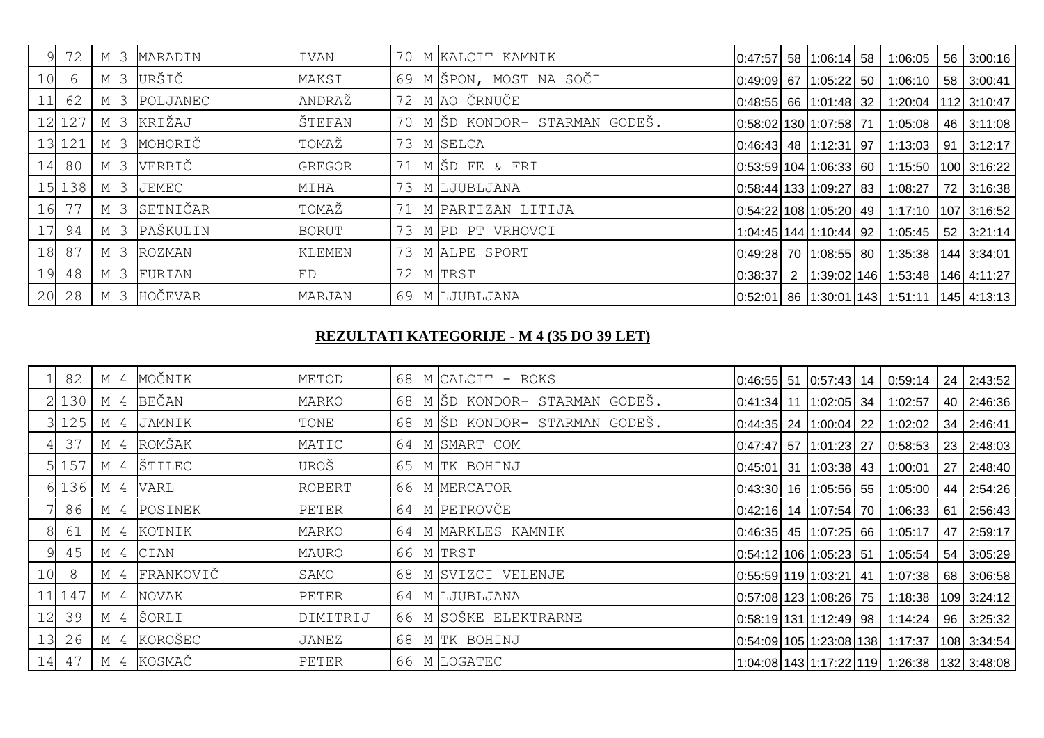|    | 72     | M <sub>3</sub> | MARADIN       | IVAN          | 70              | M KALCIT KAMNIK             |         |                                                        | $\vert 0.47:57 \vert 58 \vert 1.06:14 \vert 58 \vert 1.06:05 \vert 56 \vert 3.00:16$        |            |
|----|--------|----------------|---------------|---------------|-----------------|-----------------------------|---------|--------------------------------------------------------|---------------------------------------------------------------------------------------------|------------|
| 10 | 6      | M 3            | URŠIČ         | MAKSI         |                 | 69 M ŠPON, MOST NA SOČI     |         | $\vert 0.49.09 \vert 67 \vert 1.05.22 \vert 50 \vert$  | $1:06:10$ 58 3:00:41                                                                        |            |
|    | 62     | M 3            | POLJANEC      | ANDRAŽ        | 72 <sub>1</sub> | M AO ČRNUČE                 |         |                                                        | $\vert 0.48:55 \vert 66 \vert 1.01:48 \vert 32 \vert 1.20:04 \vert 112 \vert 3.10:47 \vert$ |            |
| 12 | 127    | M 3            | KRIŽAJ        | ŠTEFAN        | 70              | M ŠD KONDOR- STARMAN GODEŠ. |         | 0:58:02 130 1:07:58 71                                 | 1:05:08                                                                                     | 46 3:11:08 |
| 13 | 121    | M 3            | MOHORIČ       | TOMAŽ         |                 | 73 M SELCA                  |         | 0:46:43 48 1:12:31 97                                  | $1:13:03$   91   3:12:17                                                                    |            |
| 14 | 80     | M 3            | VERBIČ        | <b>GREGOR</b> | 71              | M ŠD FE & FRI               |         | $\vert 0.53.59 \vert 104 \vert 1.06.33 \vert 60 \vert$ | $1:15:50$   100   3:16:22                                                                   |            |
|    | 15 138 | M 3            | JEMEC         | MIHA          |                 | 73 M LJUBLJANA              |         | $\vert 0.58.44 \vert 133 \vert 1.09.27 \vert 83 \vert$ | 1:08:27                                                                                     | 72 3:16:38 |
| 16 | 77     | M 3            | SETNIČAR      | TOMAŽ         |                 | M PARTIZAN LITIJA           |         |                                                        | $\vert 0.54.22 \vert 108 \vert 1.05.20 \vert 49 \vert 1.17.10 \vert 107 \vert 3.16.52$      |            |
| 17 | 94     | M <sub>3</sub> | PAŠKULIN      | <b>BORUT</b>  | 73              | M PD PT VRHOVCI             |         | 1:04:45 144 1:10:44 92                                 | $1:05:45$ 52 3:21:14                                                                        |            |
| 18 | 87     | M 3            | <b>ROZMAN</b> | KLEMEN        | 73              | M ALPE SPORT                |         | 0:49:28 70 1:08:55 80                                  | $1:35:38$   144   3:34:01                                                                   |            |
| 19 | 48     | M 3            | FURIAN        | ED            | 72 <sub>1</sub> | M TRST                      | 0:38:37 |                                                        | 2   1:39:02   146   1:53:48   146   4:11:27                                                 |            |
| 20 | 28     | M 3            | HOČEVAR       | MARJAN        |                 | 69 M LJUBLJANA              |         |                                                        | $\vert 0.52.01 \vert 86 \vert 1.30.01 \vert 143 \vert 1.51.11 \vert 145 \vert 4.13.13$      |            |

#### **REZULTATI KATEGORIJE - M 4 (35 DO 39 LET)**

|    | 82      | M 4 | MOČNIK           | METOD    |    | 68 M CALCIT - ROKS          |  |                                                           | $\vert 0.46.55 \vert 51 \vert 0.57.43 \vert 14 \vert 0.59.14$   |     | 24 2:43:52    |
|----|---------|-----|------------------|----------|----|-----------------------------|--|-----------------------------------------------------------|-----------------------------------------------------------------|-----|---------------|
|    | 2130    | M 4 | BEČAN            | MARKO    | 68 | M ŠD KONDOR- STARMAN GODEŠ. |  | $\vert 0.41.34 \vert 11 \vert 1.02.05 \vert 34$           | 1:02:57                                                         |     | 40 2:46:36    |
|    | 3 1 2 5 | M 4 | JAMNIK           | TONE     | 68 | M SD KONDOR- STARMAN GODEŠ. |  | $\lfloor 0.44.35 \rfloor$ 24 $\lfloor 1.00.04 \rfloor$ 22 | 1:02:02                                                         |     | 34 2:46:41    |
|    | 37      | M 4 | ROMŠAK           | MATIC    | 64 | M SMART COM                 |  | $\vert 0.47.47 \vert 57 \vert 1.01.23 \vert 27$           | 0:58:53                                                         |     | 23 2:48:03    |
|    | 5 1 5 7 | M 4 | ŠTILEC           | UROŠ     | 65 | M TK BOHINJ                 |  | $\vert 0.45.01 \vert 31 \vert 1.03.38 \vert 43$           | 1:00:01                                                         | -27 | 2:48:40       |
|    |         |     | $6$ 136 M 4 VARL | ROBERT   |    | 66 M MERCATOR               |  | $\vert 0.43.30 \vert 16 \vert 1.05.56 \vert 55 \vert$     | 1:05:00                                                         |     | 44 2:54:26    |
|    | 86      | M 4 | POSINEK          | PETER    | 64 | M PETROVČE                  |  | $\vert 0.42:16 \vert 14 \vert 1.07:54 \vert 70 \vert$     | 1:06:33                                                         | -61 | 2:56:43       |
|    | 61      | M 4 | KOTNIK           | MARKO    | 64 | M MARKLES KAMNIK            |  | $\vert 0.46.35 \vert 45 \vert 1.07.25 \vert 66$           | 1:05:17                                                         | 47  | 2:59:17       |
|    | 45      | M 4 | CIAN             | MAURO    |    | 66 M TRST                   |  | $\vert 0.54.12 \vert 106 \vert 1.05.23 \vert 51$          | 1:05:54                                                         | 54  | 3:05:29       |
| 10 | 8       | M 4 | FRANKOVIČ        | SAMO     |    | 68   M SVIZCI VELENJE       |  | $\vert 0.55.59 \vert 119 \vert 1.03.21 \vert 41$          | 1:07:38                                                         |     | 68 3:06:58    |
|    | 11 147  | M 4 | NOVAK            | PETER    | 64 | M LJUBLJANA                 |  | $\vert 0.57.08 \vert 123 \vert 1.08.26 \vert 75 \vert$    | 1:18:38                                                         |     | $109$ 3:24:12 |
| 12 | 39      | M 4 | ŠORLI            | DIMITRIJ |    | 66 M SOŠKE ELEKTRARNE       |  | $\vert 0.58:19 \vert 131 \vert 1.12:49 \vert 98 \vert$    | 1:14:24                                                         |     | 96 3:25:32    |
| 13 | 26      | M 4 | KOROŠEC          | JANEZ    |    | 68 M TK BOHINJ              |  |                                                           | $\vert 0.54.09 \vert 105 \vert 1.23.08 \vert 138 \vert 1.17.37$ |     | 108 3:34:54   |
| 14 | 47      | M 4 | KOSMAČ           | PETER    |    | 66 M LOGATEC                |  |                                                           | 1:04:08 143 1:17:22 119 1:26:38 132 3:48:08                     |     |               |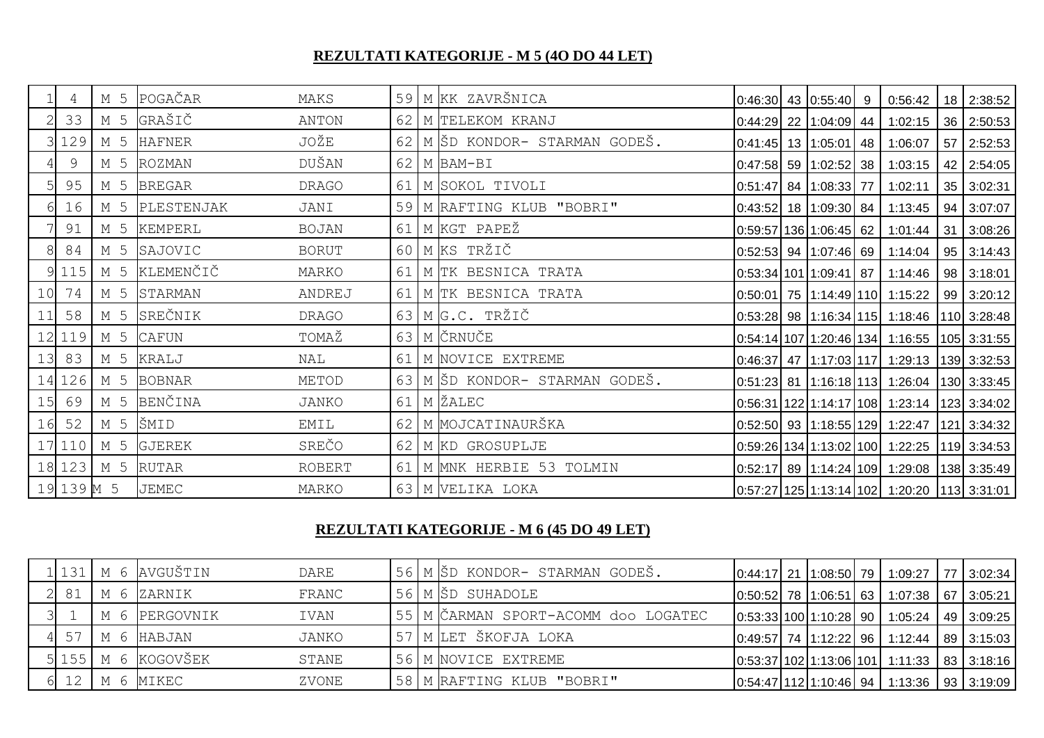# **REZULTATI KATEGORIJE - M 5 (4O DO 44 LET)**

|                 | 4          | M 5 | POGAČAR        | MAKS          | 59 | M KK ZAVRŠNICA              |  | $0:46:30$ 43 $0:55:40$ 9 |    | 0:56:42                                                              | 18 2:38:52        |
|-----------------|------------|-----|----------------|---------------|----|-----------------------------|--|--------------------------|----|----------------------------------------------------------------------|-------------------|
|                 | 33         | M 5 | GRAŠIČ         | ANTON         | 62 | M TELEKOM KRANJ             |  | 0:44:29 22 1:04:09 44    |    | 1:02:15                                                              | 36 2:50:53        |
|                 | 3 1 2 9    | M 5 | <b>HAFNER</b>  | JOŽE          | 62 | M ŠD KONDOR- STARMAN GODEŠ. |  | $0:41:45$ 13 1:05:01     | 48 | 1:06:07                                                              | 57 2:52:53        |
|                 | 9          | M 5 | <b>ROZMAN</b>  | DUŠAN         | 62 | M BAM-BI                    |  | $0:47:58$ 59 1:02:52 38  |    | 1:03:15                                                              | 42 2:54:05        |
|                 | 95         | M 5 | <b>BREGAR</b>  | DRAGO         | 61 | M SOKOL TIVOLI              |  | $0.51:47$ 84 1:08:33 77  |    | 1:02:11                                                              | 35 3:02:31        |
|                 | 16         | M 5 | PLESTENJAK     | JANI          | 59 | M RAFTING KLUB "BOBRI"      |  | $0:43:52$ 18 1:09:30 84  |    | 1:13:45                                                              | 94 3:07:07        |
|                 | 91         | M 5 | <b>KEMPERL</b> | <b>BOJAN</b>  | 61 | M KGT PAPEŽ                 |  | $0.59.57$ 136 1.06:45 62 |    | 1:01:44                                                              | 31 3:08:26        |
|                 | 84         | M 5 | SAJOVIC        | <b>BORUT</b>  | 60 | M KS TRŽIČ                  |  | $0.52:53$ 94 1:07:46 69  |    | 1:14:04                                                              | 95 3:14:43        |
|                 | 9 1 1 5    | M 5 | KLEMENČIČ      | MARKO         | 61 | M TK BESNICA TRATA          |  |                          |    | 0.53.34 101 1.09.41 87 1.14.46                                       | $98 \mid 3:18:01$ |
| 10              | 74         | M 5 | STARMAN        | ANDREJ        | 61 | M TK BESNICA TRATA          |  |                          |    | $0.50.01$ 75 1:14:49 110 1:15:22                                     | 99 3:20:12        |
| 11              | 58         | M 5 | SREČNIK        | DRAGO         | 63 | M G.C. TRŽIČ                |  |                          |    | 0:53:28 98 1:16:34 115 1:18:46 110 3:28:48                           |                   |
|                 | 12 119     | M 5 | CAFUN          | TOMAŽ         | 63 | M ČRNUČE                    |  |                          |    | $0.54:14$   107   1:20:46   134   1:16:55                            | $ 105 $ 3:31:55   |
| 13 <sup>°</sup> | 83         | M 5 | KRALJ          | NAL           | 61 | M NOVICE EXTREME            |  |                          |    | $0.46.37$ 47 $1.17.03$ 117 1.29.13                                   | 139 3:32:53       |
|                 | 14 126     | M 5 | <b>BOBNAR</b>  | METOD         | 63 | M ŠD KONDOR- STARMAN GODEŠ. |  |                          |    | $\vert 0.51.23 \vert 81 \vert 1.16.18 \vert 113 \vert 1.26.04 \vert$ | 130 3:33:45       |
| 15              | 69         | M 5 | BENČINA        | <b>JANKO</b>  | 61 | M ŽALEC                     |  |                          |    | 0:56:31   122   1:14:17   108   1:23:14                              | 123 3:34:02       |
| 16              | 52         | M 5 | ŠMID           | EMIL          | 62 | M MOJCATINAURŠKA            |  |                          |    | 0:52:50 93 1:18:55 129 1:22:47                                       | 121 3:34:32       |
|                 | 17 110     | M 5 | <b>GJEREK</b>  | SREČO         | 62 | M KD GROSUPLJE              |  |                          |    | $0.59:26$ 134 1:13:02 100 1:22:25                                    | $119$ 3:34:53     |
|                 | 18 123     | M 5 | <b>RUTAR</b>   | <b>ROBERT</b> | 61 | M MNK HERBIE 53 TOLMIN      |  |                          |    | 0:52:17  89  1:14:24  109   1:29:08  138   3:35:49                   |                   |
|                 | 19 139 M 5 |     | <b>JEMEC</b>   | MARKO         |    | 63   M VELIKA LOKA          |  |                          |    | 0:57:27 125 1:13:14 102  1:20:20  113  3:31:01                       |                   |

# **REZULTATI KATEGORIJE - M 6 (45 DO 49 LET)**

|    | 1 131  M 6 AVGUŠTIN      | DARE  |  | 56 M ŠD KONDOR- STARMAN GODEŠ.      |  |  | $\vert 0.44.17 \vert 21 \vert 1.08.50 \vert 79 \vert 1.09.27 \vert 77 \vert 3.02.34 \vert$       |              |
|----|--------------------------|-------|--|-------------------------------------|--|--|--------------------------------------------------------------------------------------------------|--------------|
| 81 | M 6 ZARNIK               | FRANC |  | 56 M ŠD SUHADOLE                    |  |  | $\vert 0.50.52 \vert$ 78 $\vert 1.06.51 \vert$ 63 $\vert 1.07.38 \vert$ 67 $\vert 3.05.21 \vert$ |              |
|    | M 6 PERGOVNIK            | IVAN  |  | 55 M ČARMAN SPORT-ACOMM doo LOGATEC |  |  | $\vert 0.53.33 \vert 100 \vert 1.10.28 \vert 90 \vert 1.05.24 \vert 49 \vert 3.09.25 \vert$      |              |
| 57 | M 6 HABJAN               | JANKO |  | 57 M LET ŠKOFJA LOKA                |  |  | $\vert 0.49.57 \vert 74 \vert 1.12.22 \vert 96 \vert 1.12.44$                                    | $89$ 3:15:03 |
|    | $5$ 155   M 6   KOGOVŠEK | STANE |  | 56 M NOVICE EXTREME                 |  |  | $\vert 0.53.37 \vert 102 \vert 1.13.06 \vert 101 \vert 1.11.33 \vert 83 \vert 3.18.16 \vert$     |              |
|    | M 6 MIKEC                | ZVONE |  | 58 M RAFTING KLUB "BOBRI"           |  |  | $\vert 0.54.47 \vert 112 \vert 1.10.46 \vert 94 \vert 1.13.36 \vert 93 \vert 3.19.09 \vert$      |              |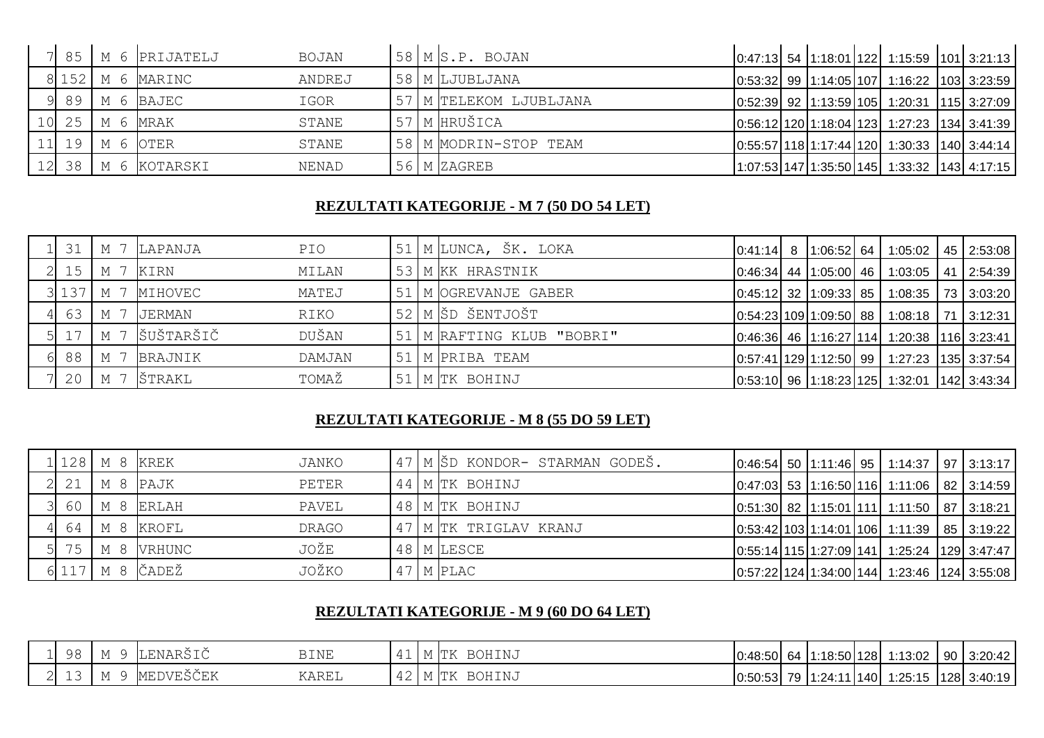|  |                | 7 85 M 6 PRIJATELJ     | <b>BOJAN</b> |  | $58$ M $S.P.$ BOJAN    |  |  | $\vert$ 0:47:13 54 1:18:01 122 1:15:59 101 3:21:13                                               |  |
|--|----------------|------------------------|--------------|--|------------------------|--|--|--------------------------------------------------------------------------------------------------|--|
|  |                | $8$ 152 M 6 MARINC     | ANDREJ       |  | 58 M LJUBLJANA         |  |  | $\vert 0.53.32 \vert$ 99 $\vert 1.14.05 \vert 107 \vert 1.16.22$ $\vert 103 \vert 3.23.59 \vert$ |  |
|  |                | 9 89 M 6 BAJEC         | IGOR         |  | 57 M TELEKOM LJUBLJANA |  |  | $\vert 0.52.39 \vert 92 \vert 1.13.59 \vert 105 \vert 1.20.31 \vert 115 \vert 3.27.09 \vert$     |  |
|  | 10 25 M 6 MRAK |                        | STANE        |  | 57 M HRUŠICA           |  |  | $\vert 0.56:12 \vert 120 \vert 1.18:04 \vert 123 \vert 1.27:23 \vert 134 \vert 3.41:39 \vert$    |  |
|  |                | $11$ 19 M 6 OTER       | STANE        |  | 58 M MODRIN-STOP TEAM  |  |  | $\vert 0.55.57 \vert 118 \vert 1.17.44 \vert 120 \vert 1.30.33 \vert 140 \vert 3.44.14 \vert$    |  |
|  |                | $12$ 38   M 6 KOTARSKI | NENAD        |  | 56 M ZAGREB            |  |  | 1:07:53 147 1:35:50 145  1:33:32  143  4:17:15                                                   |  |

#### **REZULTATI KATEGORIJE - M 7 (50 DO 54 LET)**

| 31              |     | M 7 LAPANJA           | PIO    |  | 51   M LUNCA, ŠK. LOKA      |  |  | $\vert 0.41.14 \vert 8 \vert 1.06.52 \vert 64 \vert 1.05.02 \vert 45 \vert 2.53.08 \vert$        |  |
|-----------------|-----|-----------------------|--------|--|-----------------------------|--|--|--------------------------------------------------------------------------------------------------|--|
| 15 <sub>1</sub> |     | M 7 KIRN              | MILAN  |  | 53 M KK HRASTNIK            |  |  | $\vert 0.46.34 \vert$ 44 $\vert 1.05.00 \vert$ 46 $\vert 1.03.05 \vert$ 41 $\vert 2.54.39 \vert$ |  |
|                 |     | $3$ 137   M 7 MIHOVEC | MATEJ  |  | 51 M OGREVANJE GABER        |  |  | $\vert 0.45:12 \vert 32 \vert 1.09:33 \vert 85 \vert 1.08:35 \vert 73 \vert 3.03:20 \vert$       |  |
| 63              |     | M 7 JERMAN            | RIKO   |  | 52 M ŠD ŠENTJOŠT            |  |  | $\vert 0.54.23 \vert 109 \vert 1.09.50 \vert 88 \vert 1.08.18 \vert 71 \vert 3.12.31$            |  |
|                 |     | M 7 ŠUŠTARŠIČ         | DUŠAN  |  | 51   M RAFTING KLUB "BOBRI" |  |  | $\vert 0.46.36 \vert$ 46 $\vert 1.16.27 \vert 114 \vert 1.20.38$ $\vert 116 \vert 3.23.41$       |  |
| 88              | M 7 | BRAJNIK               | DAMJAN |  | 51   M PRIBA TEAM           |  |  | $\vert 0.57.41 \vert 129 \vert 1.12.50 \vert 99 \vert 1.27.23 \vert 135 \vert 3.37.54 \vert$     |  |
| 20 <sub>1</sub> |     | M 7 ŠTRAKL            | TOMAŽ  |  | 51 M TK BOHINJ              |  |  | $\vert 0.53:10 \vert 96 \vert 1.18:23 \vert 125 \vert 1.32:01 \vert 142 \vert 3.43:34 \vert$     |  |

## **REZULTATI KATEGORIJE - M 8 (55 DO 59 LET)**

|                   | 1 128   M 8   KREK |                                | JANKO |  | 47 M ŠD KONDOR- STARMAN GODEŠ. |  |  | $\vert 0.46.54 \vert 50 \vert 1.11.46 \vert 95 \vert 1.14.37 \vert 97 \vert 3.13.17 \vert$    |  |
|-------------------|--------------------|--------------------------------|-------|--|--------------------------------|--|--|-----------------------------------------------------------------------------------------------|--|
| $2 \overline{21}$ | M 8 PAJK           |                                | PETER |  | 44 M TK BOHINJ                 |  |  | $\vert 0.47.03 \vert 53 \vert 1.16.50 \vert 116 \vert 1.11.06 \vert 82 \vert 3.14.59 \vert$   |  |
| 3 60              |                    | M 8 ERLAH                      | PAVEL |  | 48 M TK BOHINJ                 |  |  | $\vert 0.51.30 \vert$ 82   1.15.01   111   1.11.50   87   3.18.21                             |  |
|                   |                    | 4 64 M 8 KROFL                 | DRAGO |  | 47 M TK TRIGLAV KRANJ          |  |  | $\vert 0.53.42 \vert 103 \vert 1.14.01 \vert 106 \vert 1.11.39 \vert 85 \vert 3.19.22 \vert$  |  |
|                   |                    | $5$ 75 $M$ 8 VRHUNC            | JOŽE  |  | 48 M LESCE                     |  |  | $\vert 0.55.14 \vert 115 \vert 1.27.09 \vert 141 \vert 1.25.24$   129   3.47.47               |  |
|                   |                    | $6$ 117   M 8 $\check{C}$ ADEŽ | JOŽKO |  | 47 M PLAC                      |  |  | $\vert 0.57:22 \vert 124 \vert 1.34:00 \vert 144 \vert 1.23:46 \vert 124 \vert 3.55:08 \vert$ |  |

### **REZULTATI KATEGORIJE - M 9 (60 DO 64 LET)**

|        | 98 | . . |                                 | <b>BINE</b> | . . | Im L | BOHINJ        | $0.48:50$ 64 | $1:18:50$ 128 |      | 1:13:02 | 90 | 3:20:42     |
|--------|----|-----|---------------------------------|-------------|-----|------|---------------|--------------|---------------|------|---------|----|-------------|
| $\sim$ | ∸∽ | .   | ----<br>МF<br>، د سال ۱۷ سال ۱۳ | KAREL       | ∸   | .    | <b>BOHINJ</b> | $0:50:53$ 79 | 1:24:11       | 1401 | 1:25:15 |    | 128 3:40:19 |